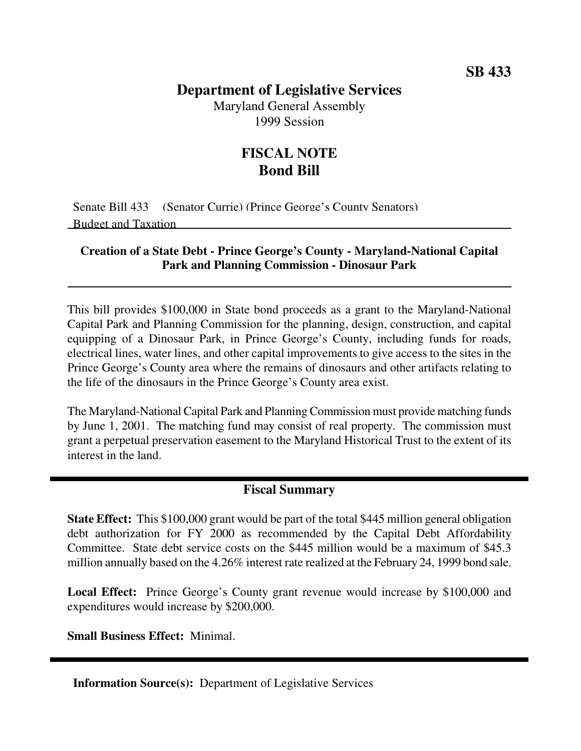## **Department of Legislative Services**

Maryland General Assembly 1999 Session

## **FISCAL NOTE Bond Bill**

Senate Bill 433 (Senator Currie) (Prince George's County Senators) Budget and Taxation

## **Creation of a State Debt - Prince George's County - Maryland-National Capital Park and Planning Commission - Dinosaur Park**

This bill provides \$100,000 in State bond proceeds as a grant to the Maryland-National Capital Park and Planning Commission for the planning, design, construction, and capital equipping of a Dinosaur Park, in Prince George's County, including funds for roads, electrical lines, water lines, and other capital improvements to give access to the sites in the Prince George's County area where the remains of dinosaurs and other artifacts relating to the life of the dinosaurs in the Prince George's County area exist.

The Maryland-National Capital Park and Planning Commission must provide matching funds by June 1, 2001. The matching fund may consist of real property. The commission must grant a perpetual preservation easement to the Maryland Historical Trust to the extent of its interest in the land.

## **Fiscal Summary**

**State Effect:** This \$100,000 grant would be part of the total \$445 million general obligation debt authorization for FY 2000 as recommended by the Capital Debt Affordability Committee. State debt service costs on the \$445 million would be a maximum of \$45.3 million annually based on the 4.26% interest rate realized at the February 24, 1999 bond sale.

**Local Effect:** Prince George's County grant revenue would increase by \$100,000 and expenditures would increase by \$200,000.

**Small Business Effect:** Minimal.

**Information Source(s):** Department of Legislative Services